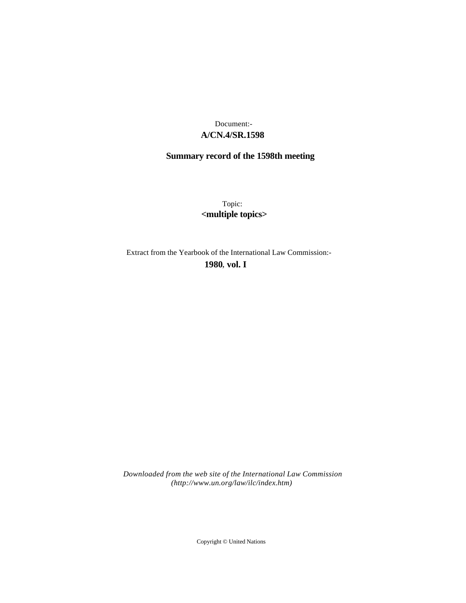## **A/CN.4/SR.1598** Document:-

# **Summary record of the 1598th meeting**

Topic: **<multiple topics>**

Extract from the Yearbook of the International Law Commission:-

**1980** , **vol. I**

*Downloaded from the web site of the International Law Commission (http://www.un.org/law/ilc/index.htm)*

Copyright © United Nations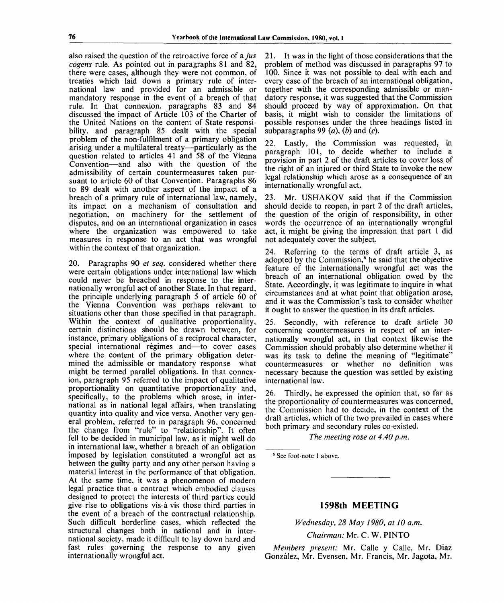also raised the question of the retroactive force of a *jus cogens* rule. As pointed out in paragraphs 81 and 82, there were cases, although they were not common, of treaties which laid down a primary rule of international law and provided for an admissible or mandatory response in the event of a breach of that rule. In that connexion, paragraphs 83 and 84 discussed the impact of Article 103 of the Charter of the United Nations on the content of State responsibility, and paragraph 85 dealt with the special problem of the non-fulfilment of a primary obligation arising under a multilateral treaty—particularly as the question related to articles 41 and 58 of the Vienna Convention—and also with the question of the admissibility of certain countermeasures taken pursuant to article 60 of that Convention. Paragraphs 86 to 89 dealt with another aspect of the impact of a breach of a primary rule of international law, namely, its impact on a mechanism of consultation and negotiation, on machinery for the settlement of disputes, and on an international organization in cases where the organization was empowered to take measures in response to an act that was wrongful within the context of that organization.

20. Paragraphs 90 *et seq.* considered whether there were certain obligations under international law which could never be breached in response to the internationally wrongful act of another State. Tn that regard, the principle underlying paragraph 5 of article 60 of the Vienna Convention was perhaps relevant to situations other than those specified in that paragraph. Within the context of qualitative proportionality, certain distinctions should be drawn between, for instance, primary obligations of a reciprocal character, special international régimes and—to cover cases where the content of the primary obligation determined the admissible or mandatory response—what might be termed parallel obligations. In that connexion, paragraph 95 referred to the impact of qualitative proportionality on quantitative proportionality and, specifically, to the problems which arose, in international as in national legal affairs, when translating quantity into quality and vice versa. Another very general problem, referred to in paragraph 96, concerned the change from "rule" to "relationship". It often fell to be decided in municipal law, as it might well do in international law, whether a breach of an obligation imposed by legislation constituted a wrongful act as between the guilty party and any other person having a material interest in the performance of that obligation. At the same time, it was a phenomenon of modern legal practice that a contract which embodied clauses designed to protect the interests of third parties could give rise to obligations vis-a-vis those third parties in the event of a breach of the contractual relationship. Such difficult borderline cases, which reflected the structural changes both in national and in international society, made it difficult to lay down hard and fast rules governing the response to any given internationally wrongful act.

21. It was in the light of those considerations that the problem of method was discussed in paragraphs 97 to 100. Since it was not possible to deal with each and every case of the breach of an international obligation, together with the corresponding admissible or mandatory response, it was suggested that the Commission should proceed by way of approximation. On that basis, it might wish to consider the limitations of possible responses under the three headings listed in subparagraphs 99 *(a), (b)* and (c).

22. Lastly, the Commission was requested, in paragraph 101, to decide whether to include a provision in part 2 of the draft articles to cover loss of the right of an injured or third State to invoke the new legal relationship which arose as a consequence of an internationally wrongful act.

23. Mr. USHAKOV said that if the Commission should decide to reopen, in part 2 of the draft articles, the question of the origin of responsibility, in other words the occurrence of an internationally wrongful act, it might be giving the impression that part 1 did not adequately cover the subject.

24. Referring to the terms of draft article 3, as adopted by the Commission,<sup>6</sup> he said that the objective feature of the internationally wrongful act was the breach of an international obligation owed by the State. Accordingly, it was legitimate to inquire in what circumstances and at what point that obligation arose, and it was the Commission's task to consider whether it ought to answer the question in its draft articles.

25. Secondly, with reference to draft article 30 concerning countermeasures in respect of an internationally wrongful act, in that context likewise the Commission should probably also determine whether it was its task to define the meaning of "legitimate" countermeasures or whether no definition was necessary because the question was settled by existing international law.

26. Thirdly, he expressed the opinion that, so far as the proportionality of countermeasures was concerned, the Commission had to decide, in the context of the draft articles, which of the two prevailed in cases where both primary and secondary rules co-existed.

*The meeting rose at 4.40 p.m.*

6 See foot-note 1 above.

## **1598th MEETING**

*Wednesday, 28 May 1980, at 10 a.m.*

*Chairman:* Mr. C. W. PINTO

*Members present:* Mr. Calle y Calle, Mr. Diaz Gonzalez, Mr. Evensen, Mr. Francis, Mr. Jagota, Mr.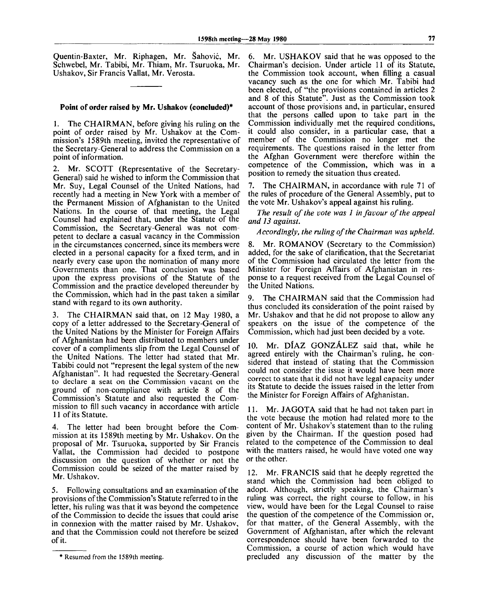Quentin-Baxter, Mr. Riphagen, Mr. Sahovic, Mr. Schwebel, Mr. Tabibi, Mr. Thiam, Mr. Tsuruoka, Mr. Ushakov, Sir Francis Vallat, Mr. Verosta.

# **Point of order raised by Mr. Ushakov (concluded)<sup>1</sup> "**

1. The CHAIRMAN, before giving his ruling on the point of order raised by Mr. Ushakov at the Commission's 1589th meeting, invited the representative of the Secretary-General to address the Commission on a point of information.

2. Mr. SCOTT (Representative of the Secretary-General) said he wished to inform the Commission that Mr. Suy, Legal Counsel of the United Nations, had recently had a meeting in New York with a member of the Permanent Mission of Afghanistan to the United Nations. In the course of that meeting, the Legal Counsel had explained that, under the Statute of the Commission, the Secretary-General was not competent to declare a casual vacancy in the Commission in the circumstances concerned, since its members were elected in a personal capacity for a fixed term, and in nearly every case upon the nomination of many more Governments than one. That conclusion was based upon the express provisions of the Statute of the Commission and the practice developed thereunder by the Commission, which had in the past taken a similar stand with regard to its own authority.

3. The CHAIRMAN said that, on 12 May 1980, a copy of a letter addressed to the Secretary-General of the United Nations by the Minister for Foreign Affairs of Afghanistan had been distributed to members under cover of a compliments slip from the Legal Counsel of the United Nations. The letter had stated that Mr. Tabibi could not "represent the legal system of the new Afghanistan". It had requested the Secretary-General to declare a seat on the Commission vacant on the ground of non-compliance with article 8 of the Commission's Statute and also requested the Commission to fill such vacancy in accordance with article 11 of its Statute.

4. The letter had been brought before the Commission at its 1589th meeting by Mr. Ushakov. On the proposal of Mr. Tsuruoka, supported by Sir Francis Vallat, the Commission had decided to postpone discussion on the question of whether or not the Commission could be seized of the matter raised by Mr. Ushakov.

5. Following consultations and an examination of the provisions of the Commission's Statute referred to in the letter, his ruling was that it was beyond the competence of the Commission to decide the issues that could arise in connexion with the matter raised by Mr. Ushakov, and that the Commission could not therefore be seized of it.

6. Mr. USHAKOV said that he was opposed to the Chairman's decision. Under article 11 of its Statute, the Commission took account, when filling a casual vacancy such as the one for which Mr. Tabibi had been elected, of "the provisions contained in articles 2 and 8 of this Statute". Just as the Commission took account of those provisions and, in particular, ensured that the persons called upon to take part in the Commission individually met the required conditions, it could also consider, in a particular case, that a member of the Commission no longer met the requirements. The questions raised in the letter from the Afghan Government were therefore within the competence of the Commission, which was in a position to remedy the situation thus created.

7. The CHAIRMAN, in accordance with rule 71 of the rules of procedure of the General Assembly, put to the vote Mr. Ushakov's appeal against his ruling.

*The result of the vote was 1 in favour of the appeal and 13 against.*

#### *Accordingly, the ruling of the Chairman was upheld.*

8. Mr. ROMANOV (Secretary to the Commission) added, for the sake of clarification, that the Secretariat of the Commission had circulated the letter from the Minister for Foreign Affairs of Afghanistan in response to a request received from the Legal Counsel of the United Nations.

9. The CHAIRMAN said that the Commission had thus concluded its consideration of the point raised by Mr. Ushakov and that he did not propose to allow any speakers on the issue of the competence of the Commission, which had just been decided by a vote.

10. Mr. DIAZ GONZALEZ said that, while he agreed entirely with the Chairman's ruling, he considered that instead of stating that the Commission could not consider the issue it would have been more correct to state that it did not have legal capacity under its Statute to decide the issues raised in the letter from the Minister for Foreign Affairs of Afghanistan.

11. Mr. JAGOTA said that he had not taken part in the vote because the motion had related more to the content of Mr. Ushakov's statement than to the ruling given by the Chairman. If the question posed had related to the competence of the Commission to deal with the matters raised, he would have voted one way or the other.

12. Mr. FRANCIS said that he deeply regretted the stand which the Commission had been obliged to adopt. Although, strictly speaking, the Chairman's ruling was correct, the right course to follow, in his view, would have been for the Legal Counsel to raise the question of the competence of the Commission or, for that matter, of the General Assembly, with the Government of Afghanistan, after which the relevant correspondence should have been forwarded to the Commission, a course of action which would have precluded any discussion of the matter by the

<sup>\*</sup> Resumed from the 1589th meeting.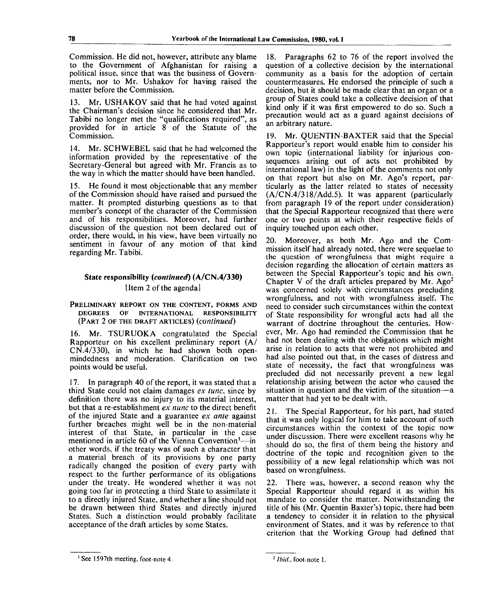Commission. He did not, however, attribute any blame to the Government of Afghanistan for raising a political issue, since that was the business of Governments, nor to Mr. Ushakov for having raised the matter before the Commission.

13. Mr. USHAKOV said that he had voted against the Chairman's decision since he considered that Mr. Tabibi no longer met the "qualifications required", as provided for in article 8 of the Statute of the Commission.

14. Mr. SCHWEBEL said that he had welcomed the information provided by the representative of the Secretary-General but agreed with Mr. Francis as to the way in which the matter should have been handled.

15. He found it most objectionable that any member of the Commission should have raised and pursued the matter. It prompted disturbing questions as to that member's concept of the character of the Commission and of his responsibilities. Moreover, had further discussion of the question not been declared out of order, there would, in his view, have been virtually no sentiment in favour of any motion of that kind regarding Mr. Tabibi.

# State responsibility *{continued)* (A/CN.4/330) Item 2 of the agendal

#### PRELIMINARY REPORT ON THE CONTENT, FORMS AND DEGREES OF INTERNATIONAL RESPONSIBILITY (PART 2 OF THE DRAFT ARTICLES) *{continued)*

16. Mr. TSURUOKA congratulated the Special Rapporteur on his excellent preliminary report (A/ CN.4/330), in which he had shown both openmindedness and moderation. Clarification on two points would be useful.

17. In paragraph 40 of the report, it was stated that a third State could not claim damages *ex tune,* since by definition there was no injury to its material interest, but that a re-establishment *ex nunc* to the direct benefit of the injured State and a guarantee *ex ante* against further breaches might well be in the non-material interest of that State, in particular in the case mentioned in article 60 of the Vienna Convention<sup>1</sup>—in other words, if the treaty was of such a character that a material breach of its provisions by one party radically changed the position of every party with respect to the further performance of its obligations under the treaty. He wondered whether it was not going too far in protecting a third State to assimilate it to a directly injured State, and whether a line should not be drawn between third States and directly injured States. Such a distinction would probably facilitate acceptance of the draft articles by some States.

18. Paragraphs 62 to 76 of the report involved the question of a collective decision by the international community as a basis for the adoption of certain countermeasures. He endorsed the principle of such a decision, but it should be made clear that an organ or a group of States could take a collective decision of that kind only if it was first empowered to do so. Such a precaution would act as a guard against decisions of an arbitrary nature.

19. Mr. QUENTIN-BAXTER said that the Special Rapporteur's report would enable him to consider his own topic (international liability for injurious consequences arising out of acts not prohibited by international law) in the light of the comments not only on that report but also on Mr. Ago's report, particularly as the latter related to states of necessity  $(A/CN.4/318/Add.5)$ . It was apparent (particularly from paragraph 19 of the report under consideration) that the Special Rapporteur recognized that there were one or two points at which their respective fields of inquiry touched upon each other.

20. Moreover, as both Mr. Ago and the Commission itself had already noted, there were sequelae to the question of wrongfulness that might require a decision regarding the allocation of certain matters as between the Special Rapporteur's topic and his own. Chapter V of the draft articles prepared by Mr. Ago<sup>2</sup> was concerned solely with circumstances precluding wrongfulness, and not with wrongfulness itself. The need to consider such circumstances within the context of State responsibility for wrongful acts had all the warrant of doctrine throughout the centuries. However, Mr. Ago had reminded the Commission that he had not been dealing with the obligations which might arise in relation to acts that were not prohibited and had also pointed out that, in the cases of distress and state of necessity, the fact that wrongfulness was precluded did not necessarily prevent a new legal relationship arising between the actor who caused the situation in question and the victim of the situation—a matter that had yet to be dealt with.

21. The Special Rapporteur, for his part, had stated that it was only logical for him to take account of such circumstances within the context of the topic now under discussion. There were excellent reasons why he should do so, the first of them being the history and doctrine of the topic and recognition given to the possibility of a new legal relationship which was not based on wrongfulness.

22. There was, however, a second reason why the Special Rapporteur should regard it as within his mandate to consider the matter. Notwithstanding the title of his (Mr. Quentin-Baxter's) topic, there had been a tendency to consider it in relation to the physical environment of States, and it was by reference to that criterion that the Working Group had defined that

See 1597th meeting, foot-note 4.

<sup>&</sup>lt;sup>2</sup> *Ibid.*, foot-note 1.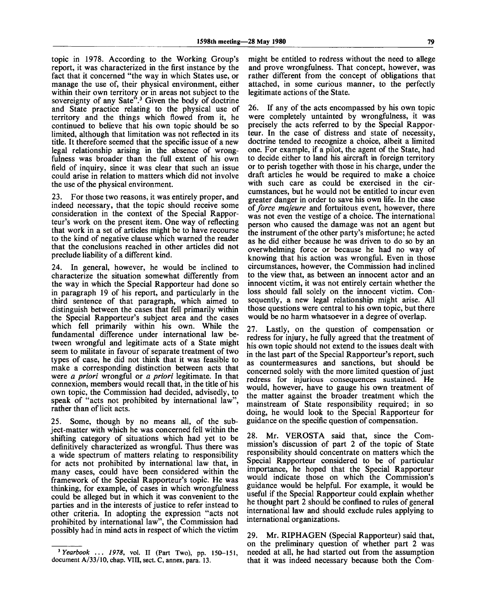topic in 1978. According to the Working Group's report, it was characterized in the first instance by the fact that it concerned "the way in which States use, or manage the use of, their physical environment, either within their own territory or in areas not subject to the sovereignty of any Sate".<sup>3</sup> Given the body of doctrine and State practice relating to the physical use of territory and the things which flowed from it, he continued to believe that his own topic should be so limited, although that limitation was not reflected in its title. It therefore seemed that the specific issue of a new legal relationship arising in the absence of wrongfulness was broader than the full extent of his own field of inquiry, since it was clear that such an issue could arise in relation to matters which did not involve the use of the physical environment.

23. For those two reasons, it was entirely proper, and indeed necessary, that the topic should receive some consideration in the context of the Special Rapporteur's work on the present item. One way of reflecting that work in a set of articles might be to have recourse to the kind of negative clause which warned the reader that the conclusions reached in other articles did not preclude liability of a different kind.

24. In general, however, he would be inclined to characterize the situation somewhat differently from the way in which the Special Rapporteur had done so in paragraph 19 of his report, and particularly in the third sentence of that paragraph, which aimed to distinguish between the cases that fell primarily within the Special Rapporteur's subject area and the cases which fell primarily within his own. While the fundamental difference under international law between wrongful and legitimate acts of a State might seem to militate in favour of separate treatment of two types of case, he did not think that it was feasible to make a corresponding distinction between acts that were *a priori* wrongful or *a priori* legitimate. In that connexion, members would recall that, in the title of his own topic, the Commission had decided, advisedly, to speak of "acts not prohibited by international law", rather than of licit acts.

25. Some, though by no means all, of the subject-matter with which he was concerned fell within the shifting category of situations which had yet to be definitively characterized as wrongful. Thus there was a wide spectrum of matters relating to responsibility for acts not prohibited by international law that, in many cases, could have been considered within the framework of the Special Rapporteur's topic. He was thinking, for example, of cases in which wrongfulness could be alleged but in which it was convenient to the parties and in the interests of justice to refer instead to other criteria. In adopting the expression "acts not prohibited by international law", the Commission had possibly had in mind acts in respect of which the victim

might be entitled to redress without the need to allege and prove wrongfulness. That concept, however, was rather different from the concept of obligations that attached, in some curious manner, to the perfectly legitimate actions of the State.

26. If any of the acts encompassed by his own topic were completely untainted by wrongfulness, it was precisely the acts referred to by the Special Rapporteur. In the case of distress and state of necessity, doctrine tended to recognize a choice, albeit a limited one. For example, if a pilot, the agent of the State, had to decide either to land his aircraft in foreign territory or to perish together with those in his charge, under the draft articles he would be required to make a choice with such care as could be exercised in the circumstances, but he would not be entitled to incur even greater danger in order to save his own life. In the case *of force majeure* and fortuitous event, however, there was not even the vestige of a choice. The international person who caused the damage was not an agent but the instrument of the other party's misfortune; he acted as he did either because he was driven to do so by an overwhelming force or because he had no way of knowing that his action was wrongful. Even in those circumstances, however, the Commission had inclined to the view that, as between an innocent actor and an innocent victim, it was not entirely certain whether the loss should fall solely on the innocent victim. Consequently, a new legal relationship might arise. All those questions were central to his own topic, but there would be no harm whatsoever in a degree of overlap.

27. Lastly, on the question of compensation or redress for injury, he fully agreed that the treatment of his own topic should not extend to the issues dealt with in the last part of the Special Rapporteur's report, such as countermeasures and sanctions, but should be concerned solely with the more limited question of just redress for injurious consequences sustained. He would, however, have to gauge his own treatment of the matter against the broader treatment which the mainstream of State responsibility required; in so doing, he would look to the Special Rapporteur for guidance on the specific question of compensation.

28. Mr. VEROSTA said that, since the Commission's discussion of part 2 of the topic of State responsibility should concentrate on matters which the Special Rapporteur considered to be of particular importance, he hoped that the Special Rapporteur would indicate those on which the Commission's guidance would be helpful. For example, it would be useful if the Special Rapporteur could explain whether he thought part 2 should be confined to rules of general international law and should exclude rules applying to international organizations.

29. Mr. RIPHAGEN (Special Rapporteur) said that, on the preliminary question of whether part 2 was needed at all, he had started out from the assumption that it was indeed necessary because both the Com-

<sup>3</sup>  *Yearbook* .. . *1978,* vol. II (Part Two), pp. 150-151, document A/33/10, chap. VIII, sect. C, annex, para. 13.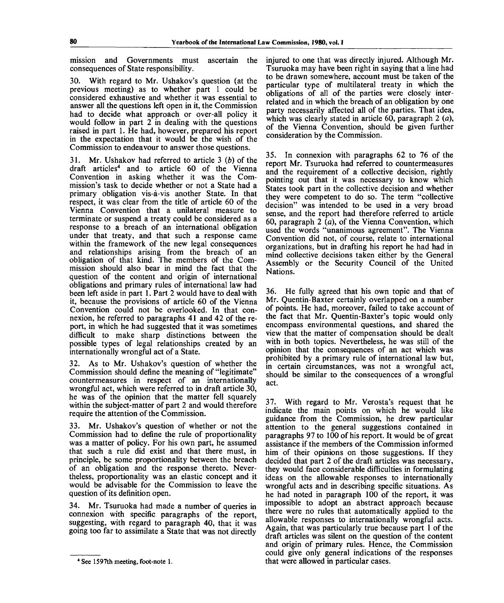mission and Governments must ascertain the consequences of State responsibility.

30. With regard to Mr. Ushakov's question (at the previous meeting) as to whether part 1 could be considered exhaustive and whether it was essential to answer all the questions left open in it, the Commission had to decide what approach or over-all policy it would follow in part 2 in dealing with the questions raised in part 1. He had, however, prepared his report in the expectation that it would be the wish of the Commission to endeavour to answer those questions.

31. Mr. Ushakov had referred to article 3 *(b)* of the draft articles<sup>4</sup> and to article 60 of the Vienna Convention in asking whether it was the Commission's task to decide whether or not a State had a primary obligation vis-à-vis another State. In that respect, it was clear from the title of article 60 of the Vienna Convention that a unilateral measure to terminate or suspend a treaty could be considered as a response to a breach of an international obligation under that treaty, and that such a response came within the framework of the new legal consequences and relationships arising from the breach of an obligation of that kind. The members of the Commission should also bear in mind the fact that the question of the content and origin of international obligations and primary rules of international law had been left aside in part 1. Part 2 would have to deal with it, because the provisions of article 60 of the Vienna Convention could not be overlooked. In that connexion, he referred to paragraphs 41 and 42 of the report, in which he had suggested that it was sometimes difficult to make sharp distinctions between the possible types of legal relationships created by an internationally wrongful act of a State.

32. As to Mr. Ushakov's question of whether the Commission should define the meaning of "legitimate" countermeasures in respect of an internationally wrongful act, which were referred to in draft article 30, he was of the opinion that the matter fell squarely within the subject-matter of part 2 and would therefore require the attention of the Commission.

33. Mr. Ushakov's question of whether or not the Commission had to define the rule of proportionality was a matter of policy. For his own part, he assumed that such a rule did exist and that there must, in principle, be some proportionality between the breach of an obligation and the response thereto. Nevertheless, proportionality was an elastic concept and it would be advisable for the Commission to leave the question of its definition open.

34. Mr. Tsuruoka had made a number of queries in connexion with specific paragraphs of the report, suggesting, with regard to paragraph 40, that it was going too far to assimilate a State that was not directly injured to one that was directly injured. Although Mr. Tsuruoka may have been right in saying that a line had to be drawn somewhere, account must be taken of the particular type of multilateral treaty in which the obligations of all of the parties were closely interrelated and in which the breach of an obligation by one party necessarily affected all of the parties. That idea, which was clearly stated in article 60, paragraph 2 *(a),* of the Vienna Convention, should be given further consideration by the Commission.

35. In connexion with paragraphs 62 to 76 of the report Mr. Tsuruoka had referred to countermeasures and the requirement of a collective decision, rightly pointing out that it was necessary to know which States took part in the collective decision and whether they were competent to do so. The term "collective decision" was intended to be used in a very broad sense, and the report had therefore referred to article 60, paragraph 2 *(a),* of the Vienna Convention, which used the words "unanimous agreement". The Vienna Convention did not, of course, relate to international organizations, but in drafting his report he had had in mind collective decisions taken either by the General Assembly or the Security Council of the United Nations.

36. He fully agreed that his own topic and that of Mr. Quentin-Baxter certainly overlapped on a number of points. He had, moreover, failed to take account of the fact that Mr. Quentin-Baxter's topic would only encompass environmental questions, and shared the view that the matter of compensation should be dealt with in both topics. Nevertheless, he was still of the opinion that the consequences of an act which was prohibited by a primary rule of international law but, in certain circumstances, was not a wrongful act, should be similar to the consequences of a wrongful act.

37. With regard to Mr. Verosta's request that he indicate the main points on which he would like guidance from the Commission, he drew particular attention to the general suggestions contained in paragraphs 97 to 100 of his report. It would be of great assistance if the members of the Commission informed him of their opinions on those suggestions. If they decided that part 2 of the draft articles was necessary, they would face considerable difficulties in formulating ideas on the allowable responses to internationally wrongful acts and in describing specific situations. As he had noted in paragraph 100 of the report, it was impossible to adopt an abstract approach because there were no rules that automatically applied to the allowable responses to internationally wrongful acts. Again, that was particularly true because part 1 of the draft articles was silent on the question of the content and origin of primary rules. Hence, the Commission could give only general indications of the responses that were allowed in particular cases.

**<sup>4</sup> See 1597th meeting, foot-note 1.**